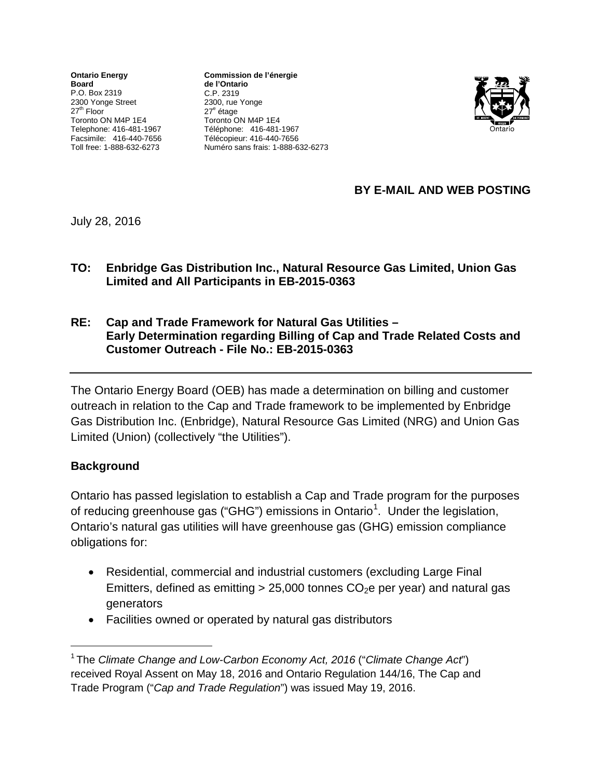**Ontario Energy Board** P.O. Box 2319 2300 Yonge Street  $27<sup>th</sup>$  Floor Toronto ON M4P 1E4 Telephone: 416-481-1967 Facsimile: 416-440-7656 Toll free: 1-888-632-6273

**Commission de l'énergie de l'Ontario** C.P. 2319 2300, rue Yonge 27<sup>e</sup> étage Toronto ON M4P 1E4 Téléphone: 416-481-1967 Télécopieur: 416-440-7656 Numéro sans frais: 1-888-632-6273



# **BY E-MAIL AND WEB POSTING**

July 28, 2016

- **TO: Enbridge Gas Distribution Inc., Natural Resource Gas Limited, Union Gas Limited and All Participants in EB-2015-0363**
- **RE: Cap and Trade Framework for Natural Gas Utilities – Early Determination regarding Billing of Cap and Trade Related Costs and Customer Outreach - File No.: EB-2015-0363**

The Ontario Energy Board (OEB) has made a determination on billing and customer outreach in relation to the Cap and Trade framework to be implemented by Enbridge Gas Distribution Inc. (Enbridge), Natural Resource Gas Limited (NRG) and Union Gas Limited (Union) (collectively "the Utilities").

## **Background**

Ontario has passed legislation to establish a Cap and Trade program for the purposes of reducing greenhouse gas ("GHG") emissions in Ontario<sup>[1](#page-0-0)</sup>. Under the legislation, Ontario's natural gas utilities will have greenhouse gas (GHG) emission compliance obligations for:

- Residential, commercial and industrial customers (excluding Large Final Emitters, defined as emitting  $> 25,000$  tonnes CO<sub>2</sub>e per year) and natural gas generators
- Facilities owned or operated by natural gas distributors

<span id="page-0-0"></span> <sup>1</sup> The *Climate Change and Low-Carbon Economy Act, 2016* ("*Climate Change Act*") received Royal Assent on May 18, 2016 and Ontario Regulation 144/16, The Cap and Trade Program ("*Cap and Trade Regulation*") was issued May 19, 2016.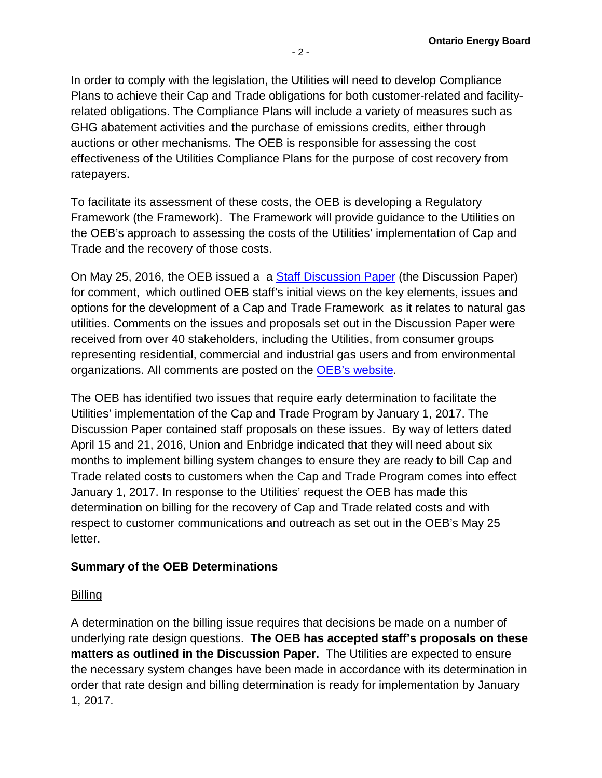In order to comply with the legislation, the Utilities will need to develop Compliance Plans to achieve their Cap and Trade obligations for both customer-related and facilityrelated obligations. The Compliance Plans will include a variety of measures such as GHG abatement activities and the purchase of emissions credits, either through auctions or other mechanisms. The OEB is responsible for assessing the cost effectiveness of the Utilities Compliance Plans for the purpose of cost recovery from ratepayers.

To facilitate its assessment of these costs, the OEB is developing a Regulatory Framework (the Framework). The Framework will provide guidance to the Utilities on the OEB's approach to assessing the costs of the Utilities' implementation of Cap and Trade and the recovery of those costs.

On May 25, 2016, the OEB issued a a [Staff Discussion Paper](http://www.ontarioenergyboard.ca/oeb/Industry/Regulatory%20Proceedings/Policy%20Initiatives%20and%20Consultations/Cap%20and%20Trade%20Compliance%20Plans%20%28EB-2015-0363%29) (the Discussion Paper) for comment, which outlined OEB staff's initial views on the key elements, issues and options for the development of a Cap and Trade Framework as it relates to natural gas utilities. Comments on the issues and proposals set out in the Discussion Paper were received from over 40 stakeholders, including the Utilities, from consumer groups representing residential, commercial and industrial gas users and from environmental organizations. All comments are posted on the [OEB's website.](http://www.ontarioenergyboard.ca/OEB/Industry/Regulatory+Proceedings/Policy+Initiatives+and+Consultations/Cap+and+Trade+Compliance+Plans+(EB-2015-0363))

The OEB has identified two issues that require early determination to facilitate the Utilities' implementation of the Cap and Trade Program by January 1, 2017. The Discussion Paper contained staff proposals on these issues. By way of letters dated April 15 and 21, 2016, Union and Enbridge indicated that they will need about six months to implement billing system changes to ensure they are ready to bill Cap and Trade related costs to customers when the Cap and Trade Program comes into effect January 1, 2017. In response to the Utilities' request the OEB has made this determination on billing for the recovery of Cap and Trade related costs and with respect to customer communications and outreach as set out in the OEB's May 25 letter.

## **Summary of the OEB Determinations**

#### Billing

A determination on the billing issue requires that decisions be made on a number of underlying rate design questions. **The OEB has accepted staff's proposals on these matters as outlined in the Discussion Paper.** The Utilities are expected to ensure the necessary system changes have been made in accordance with its determination in order that rate design and billing determination is ready for implementation by January 1, 2017.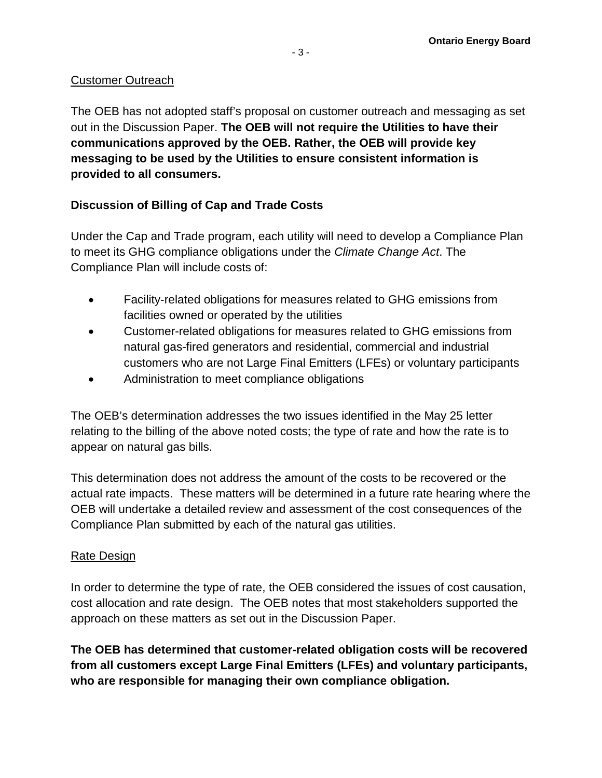### Customer Outreach

The OEB has not adopted staff's proposal on customer outreach and messaging as set out in the Discussion Paper. **The OEB will not require the Utilities to have their communications approved by the OEB. Rather, the OEB will provide key messaging to be used by the Utilities to ensure consistent information is provided to all consumers.**

## **Discussion of Billing of Cap and Trade Costs**

Under the Cap and Trade program, each utility will need to develop a Compliance Plan to meet its GHG compliance obligations under the *Climate Change Act*. The Compliance Plan will include costs of:

- Facility-related obligations for measures related to GHG emissions from facilities owned or operated by the utilities
- Customer-related obligations for measures related to GHG emissions from natural gas-fired generators and residential, commercial and industrial customers who are not Large Final Emitters (LFEs) or voluntary participants
- Administration to meet compliance obligations

The OEB's determination addresses the two issues identified in the May 25 letter relating to the billing of the above noted costs; the type of rate and how the rate is to appear on natural gas bills.

This determination does not address the amount of the costs to be recovered or the actual rate impacts. These matters will be determined in a future rate hearing where the OEB will undertake a detailed review and assessment of the cost consequences of the Compliance Plan submitted by each of the natural gas utilities.

#### Rate Design

In order to determine the type of rate, the OEB considered the issues of cost causation, cost allocation and rate design. The OEB notes that most stakeholders supported the approach on these matters as set out in the Discussion Paper.

**The OEB has determined that customer-related obligation costs will be recovered from all customers except Large Final Emitters (LFEs) and voluntary participants, who are responsible for managing their own compliance obligation.**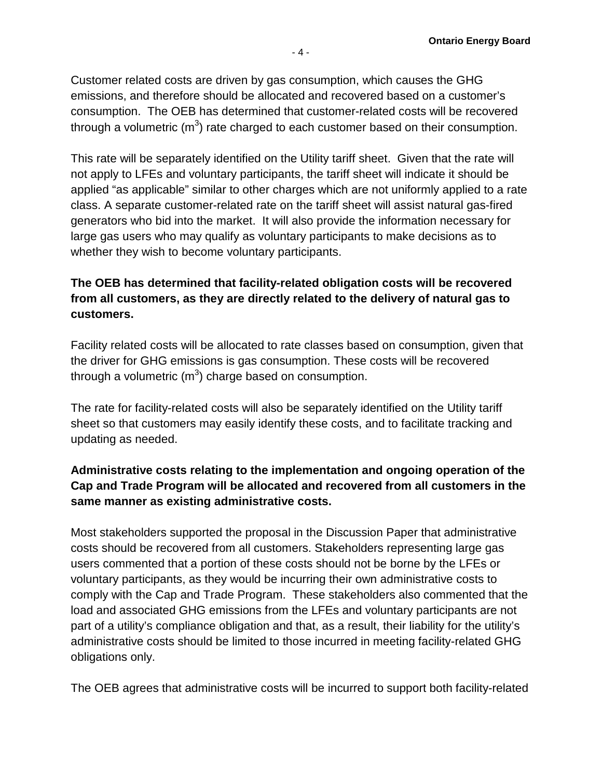Customer related costs are driven by gas consumption, which causes the GHG emissions, and therefore should be allocated and recovered based on a customer's consumption. The OEB has determined that customer-related costs will be recovered through a volumetric (m<sup>3</sup>) rate charged to each customer based on their consumption.

This rate will be separately identified on the Utility tariff sheet. Given that the rate will not apply to LFEs and voluntary participants, the tariff sheet will indicate it should be applied "as applicable" similar to other charges which are not uniformly applied to a rate class. A separate customer-related rate on the tariff sheet will assist natural gas-fired generators who bid into the market. It will also provide the information necessary for large gas users who may qualify as voluntary participants to make decisions as to whether they wish to become voluntary participants.

# **The OEB has determined that facility-related obligation costs will be recovered from all customers, as they are directly related to the delivery of natural gas to customers.**

Facility related costs will be allocated to rate classes based on consumption, given that the driver for GHG emissions is gas consumption. These costs will be recovered through a volumetric  $(m^3)$  charge based on consumption.

The rate for facility-related costs will also be separately identified on the Utility tariff sheet so that customers may easily identify these costs, and to facilitate tracking and updating as needed.

# **Administrative costs relating to the implementation and ongoing operation of the Cap and Trade Program will be allocated and recovered from all customers in the same manner as existing administrative costs.**

Most stakeholders supported the proposal in the Discussion Paper that administrative costs should be recovered from all customers. Stakeholders representing large gas users commented that a portion of these costs should not be borne by the LFEs or voluntary participants, as they would be incurring their own administrative costs to comply with the Cap and Trade Program. These stakeholders also commented that the load and associated GHG emissions from the LFEs and voluntary participants are not part of a utility's compliance obligation and that, as a result, their liability for the utility's administrative costs should be limited to those incurred in meeting facility-related GHG obligations only.

The OEB agrees that administrative costs will be incurred to support both facility-related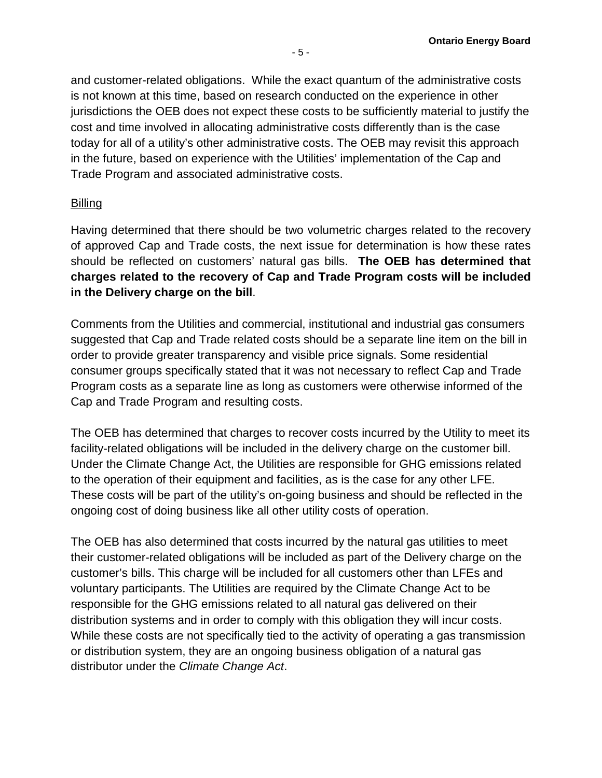and customer-related obligations. While the exact quantum of the administrative costs is not known at this time, based on research conducted on the experience in other jurisdictions the OEB does not expect these costs to be sufficiently material to justify the cost and time involved in allocating administrative costs differently than is the case today for all of a utility's other administrative costs. The OEB may revisit this approach in the future, based on experience with the Utilities' implementation of the Cap and Trade Program and associated administrative costs.

## Billing

Having determined that there should be two volumetric charges related to the recovery of approved Cap and Trade costs, the next issue for determination is how these rates should be reflected on customers' natural gas bills. **The OEB has determined that charges related to the recovery of Cap and Trade Program costs will be included in the Delivery charge on the bill**.

Comments from the Utilities and commercial, institutional and industrial gas consumers suggested that Cap and Trade related costs should be a separate line item on the bill in order to provide greater transparency and visible price signals. Some residential consumer groups specifically stated that it was not necessary to reflect Cap and Trade Program costs as a separate line as long as customers were otherwise informed of the Cap and Trade Program and resulting costs.

The OEB has determined that charges to recover costs incurred by the Utility to meet its facility-related obligations will be included in the delivery charge on the customer bill. Under the Climate Change Act, the Utilities are responsible for GHG emissions related to the operation of their equipment and facilities, as is the case for any other LFE. These costs will be part of the utility's on-going business and should be reflected in the ongoing cost of doing business like all other utility costs of operation.

The OEB has also determined that costs incurred by the natural gas utilities to meet their customer-related obligations will be included as part of the Delivery charge on the customer's bills. This charge will be included for all customers other than LFEs and voluntary participants. The Utilities are required by the Climate Change Act to be responsible for the GHG emissions related to all natural gas delivered on their distribution systems and in order to comply with this obligation they will incur costs. While these costs are not specifically tied to the activity of operating a gas transmission or distribution system, they are an ongoing business obligation of a natural gas distributor under the *Climate Change Act*.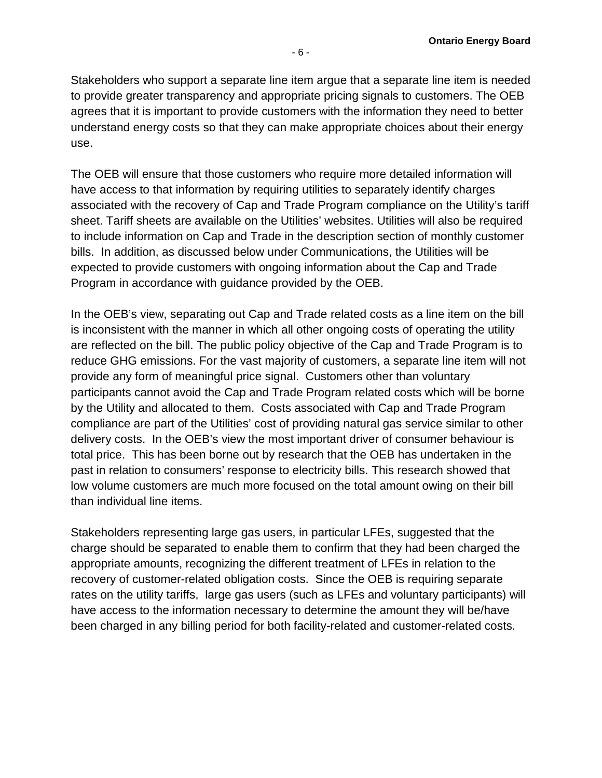Stakeholders who support a separate line item argue that a separate line item is needed to provide greater transparency and appropriate pricing signals to customers. The OEB agrees that it is important to provide customers with the information they need to better understand energy costs so that they can make appropriate choices about their energy use.

The OEB will ensure that those customers who require more detailed information will have access to that information by requiring utilities to separately identify charges associated with the recovery of Cap and Trade Program compliance on the Utility's tariff sheet. Tariff sheets are available on the Utilities' websites. Utilities will also be required to include information on Cap and Trade in the description section of monthly customer bills. In addition, as discussed below under Communications, the Utilities will be expected to provide customers with ongoing information about the Cap and Trade Program in accordance with guidance provided by the OEB.

In the OEB's view, separating out Cap and Trade related costs as a line item on the bill is inconsistent with the manner in which all other ongoing costs of operating the utility are reflected on the bill. The public policy objective of the Cap and Trade Program is to reduce GHG emissions. For the vast majority of customers, a separate line item will not provide any form of meaningful price signal. Customers other than voluntary participants cannot avoid the Cap and Trade Program related costs which will be borne by the Utility and allocated to them. Costs associated with Cap and Trade Program compliance are part of the Utilities' cost of providing natural gas service similar to other delivery costs. In the OEB's view the most important driver of consumer behaviour is total price. This has been borne out by research that the OEB has undertaken in the past in relation to consumers' response to electricity bills. This research showed that low volume customers are much more focused on the total amount owing on their bill than individual line items.

Stakeholders representing large gas users, in particular LFEs, suggested that the charge should be separated to enable them to confirm that they had been charged the appropriate amounts, recognizing the different treatment of LFEs in relation to the recovery of customer-related obligation costs. Since the OEB is requiring separate rates on the utility tariffs, large gas users (such as LFEs and voluntary participants) will have access to the information necessary to determine the amount they will be/have been charged in any billing period for both facility-related and customer-related costs.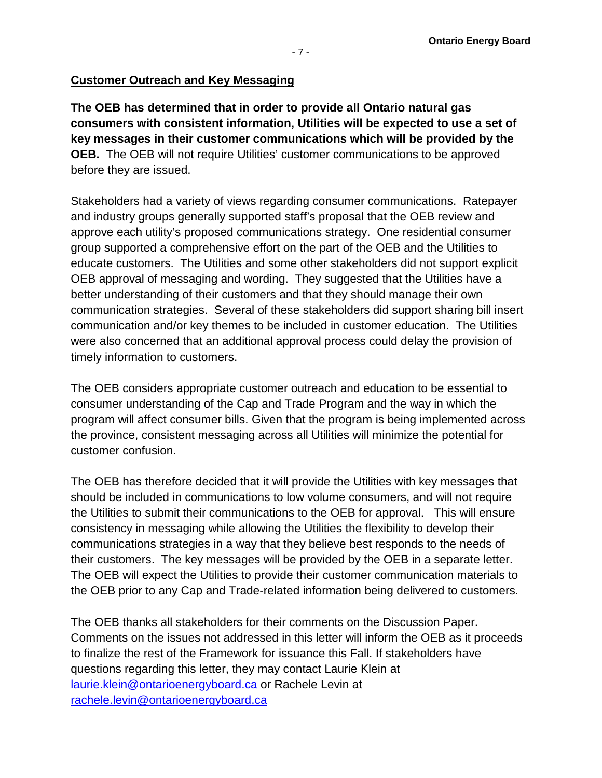### **Customer Outreach and Key Messaging**

**The OEB has determined that in order to provide all Ontario natural gas consumers with consistent information, Utilities will be expected to use a set of key messages in their customer communications which will be provided by the OEB.** The OEB will not require Utilities' customer communications to be approved before they are issued.

Stakeholders had a variety of views regarding consumer communications. Ratepayer and industry groups generally supported staff's proposal that the OEB review and approve each utility's proposed communications strategy. One residential consumer group supported a comprehensive effort on the part of the OEB and the Utilities to educate customers. The Utilities and some other stakeholders did not support explicit OEB approval of messaging and wording. They suggested that the Utilities have a better understanding of their customers and that they should manage their own communication strategies. Several of these stakeholders did support sharing bill insert communication and/or key themes to be included in customer education. The Utilities were also concerned that an additional approval process could delay the provision of timely information to customers.

The OEB considers appropriate customer outreach and education to be essential to consumer understanding of the Cap and Trade Program and the way in which the program will affect consumer bills. Given that the program is being implemented across the province, consistent messaging across all Utilities will minimize the potential for customer confusion.

The OEB has therefore decided that it will provide the Utilities with key messages that should be included in communications to low volume consumers, and will not require the Utilities to submit their communications to the OEB for approval. This will ensure consistency in messaging while allowing the Utilities the flexibility to develop their communications strategies in a way that they believe best responds to the needs of their customers. The key messages will be provided by the OEB in a separate letter. The OEB will expect the Utilities to provide their customer communication materials to the OEB prior to any Cap and Trade-related information being delivered to customers.

The OEB thanks all stakeholders for their comments on the Discussion Paper. Comments on the issues not addressed in this letter will inform the OEB as it proceeds to finalize the rest of the Framework for issuance this Fall. If stakeholders have questions regarding this letter, they may contact Laurie Klein at [laurie.klein@ontarioenergyboard.ca](mailto:laurie.klein@ontarioenergyboard.ca) or Rachele Levin at [rachele.levin@ontarioenergyboard.ca](mailto:rachele.levin@ontarioenergyboard.ca)